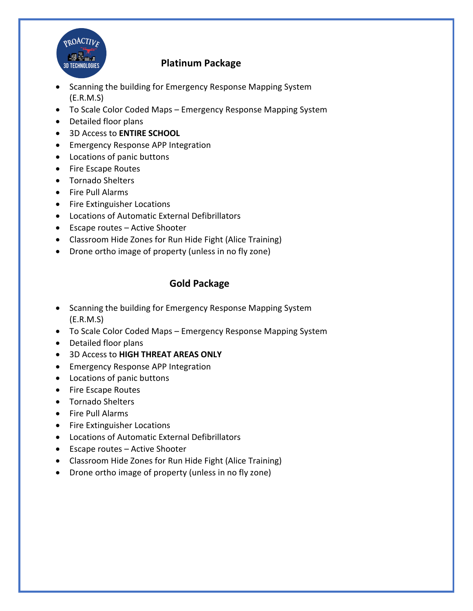

## **Platinum Package**

- Scanning the building for Emergency Response Mapping System (E.R.M.S)
- To Scale Color Coded Maps Emergency Response Mapping System
- Detailed floor plans
- 3D Access to **ENTIRE SCHOOL**
- Emergency Response APP Integration
- Locations of panic buttons
- Fire Escape Routes
- Tornado Shelters
- Fire Pull Alarms
- Fire Extinguisher Locations
- Locations of Automatic External Defibrillators
- Escape routes Active Shooter
- Classroom Hide Zones for Run Hide Fight (Alice Training)
- Drone ortho image of property (unless in no fly zone)

## **Gold Package**

- Scanning the building for Emergency Response Mapping System (E.R.M.S)
- To Scale Color Coded Maps Emergency Response Mapping System
- Detailed floor plans
- 3D Access to **HIGH THREAT AREAS ONLY**
- Emergency Response APP Integration
- Locations of panic buttons
- Fire Escape Routes
- Tornado Shelters
- Fire Pull Alarms
- Fire Extinguisher Locations
- Locations of Automatic External Defibrillators
- Escape routes Active Shooter
- Classroom Hide Zones for Run Hide Fight (Alice Training)
- Drone ortho image of property (unless in no fly zone)